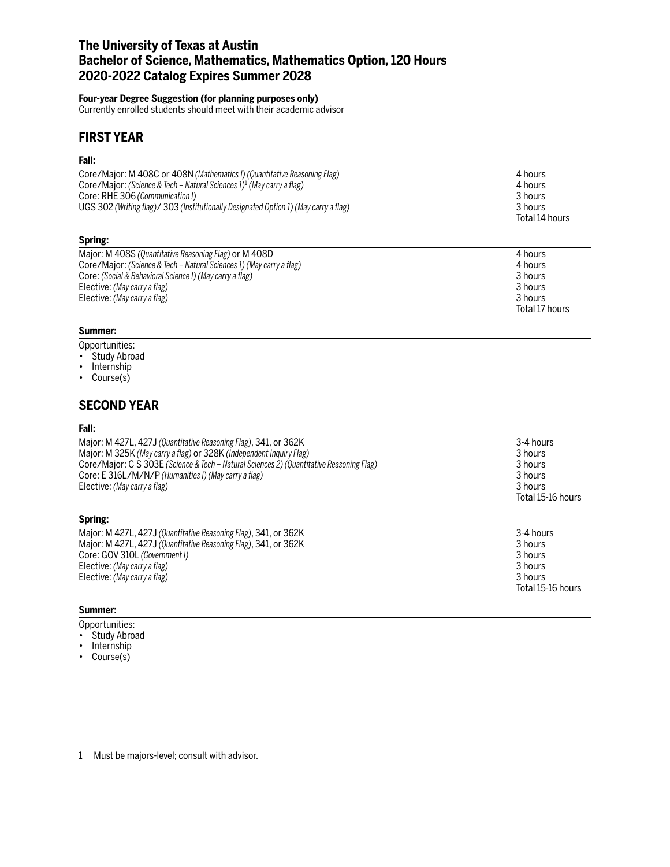## **The University of Texas at Austin Bachelor of Science, Mathematics, Mathematics Option, 120 Hours 2020-2022 Catalog Expires Summer 2028**

### **Four-year Degree Suggestion (for planning purposes only)**

Currently enrolled students should meet with their academic advisor

## **FIRST YEAR**

#### **Fall:**

| UGS 302 (Writing flag)/ 303 (Institutionally Designated Option 1) (May carry a flag) | 3 hours        |
|--------------------------------------------------------------------------------------|----------------|
| Spring:                                                                              | Total 14 hours |
| Core/Major: M 408C or 408N (Mathematics I) (Quantitative Reasoning Flag)             | 4 hours        |
| Core/Major: (Science & Tech – Natural Sciences 1) <sup>1</sup> (May carry a flag)    | 4 hours        |
| Core: RHE 306 (Communication I)                                                      | 3 hours        |

| Major: M 408S (Quantitative Reasoning Flag) or M 408D                | 4 hours        |
|----------------------------------------------------------------------|----------------|
| Core/Major: (Science & Tech – Natural Sciences 1) (May carry a flag) | 4 hours        |
| Core: (Social & Behavioral Science I) (May carry a flag)             | 3 hours        |
| Elective: (May carry a flag)                                         | 3 hours        |
| Elective: (May carry a flag)                                         | 3 hours        |
|                                                                      | Total 17 hours |

### **Summer:**

### Opportunities:

- Study Abroad
- Internship
- Course(s)

## **SECOND YEAR**

#### **Fall:**

| Major: M 427L, 427J (Quantitative Reasoning Flag), 341, or 362K                          | 3-4 hours         |
|------------------------------------------------------------------------------------------|-------------------|
| Major: M 325K (May carry a flag) or 328K (Independent Inquiry Flag)                      | 3 hours           |
| Core/Major: C S 303E (Science & Tech – Natural Sciences 2) (Quantitative Reasoning Flag) | 3 hours           |
| Core: E 316L/M/N/P (Humanities I) (May carry a flag)                                     | 3 hours           |
| Elective: (May carry a flag)                                                             | 3 hours           |
|                                                                                          | Total 15-16 hours |

#### **Spring:**

| Major: M 427L, 427J (Quantitative Reasoning Flag), 341, or 362K | 3-4 hours         |
|-----------------------------------------------------------------|-------------------|
| Major: M 427L, 427J (Quantitative Reasoning Flag), 341, or 362K | 3 hours           |
| Core: GOV 310L (Government I)                                   | 3 hours           |
| Elective: (May carry a flag)                                    | 3 hours           |
| Elective: (May carry a flag)                                    | 3 hours           |
|                                                                 | Total 15-16 hours |
|                                                                 |                   |

#### **Summer:**

Opportunities:

- Study Abroad
- Internship
- Course(s)

<sup>1</sup> Must be majors-level; consult with advisor.